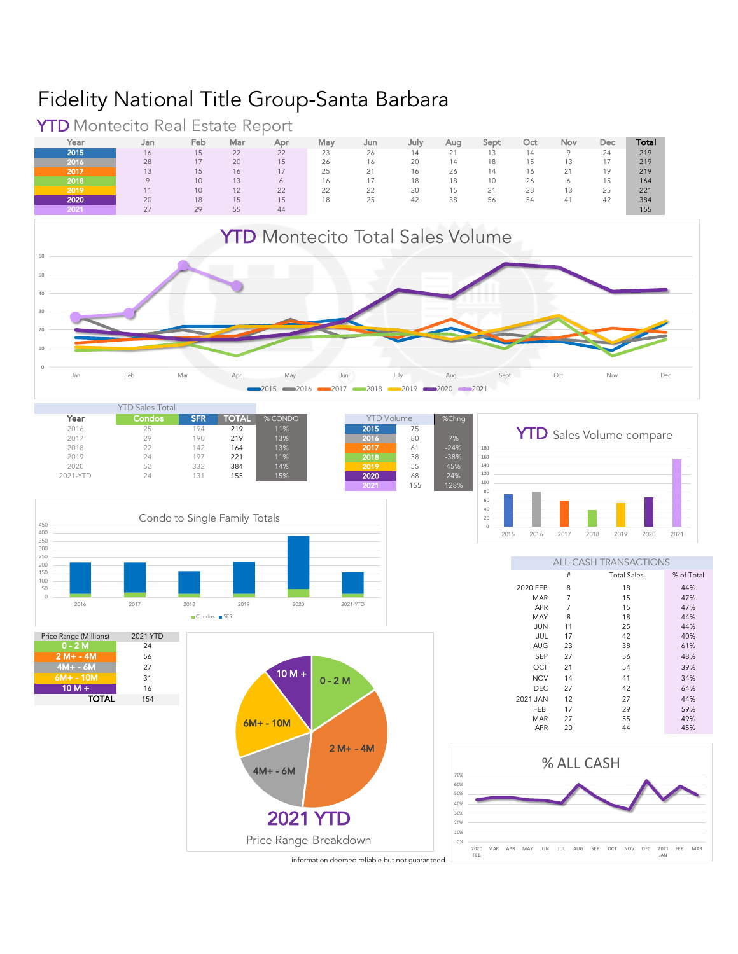## Fidelity National Title Group-Santa Barbara



Year Jan Feb Mar Apr May Jun July Aug Sept Oct Nov Dec **Total** 

**YTD** Montecito Real Estate Report<br>
Year Jan Feb Mar Apr

information deemed reliable but not quaranteed

**<sup>2015</sup>** 16 15 22 22 23 26 14 21 13 14 9 24 219